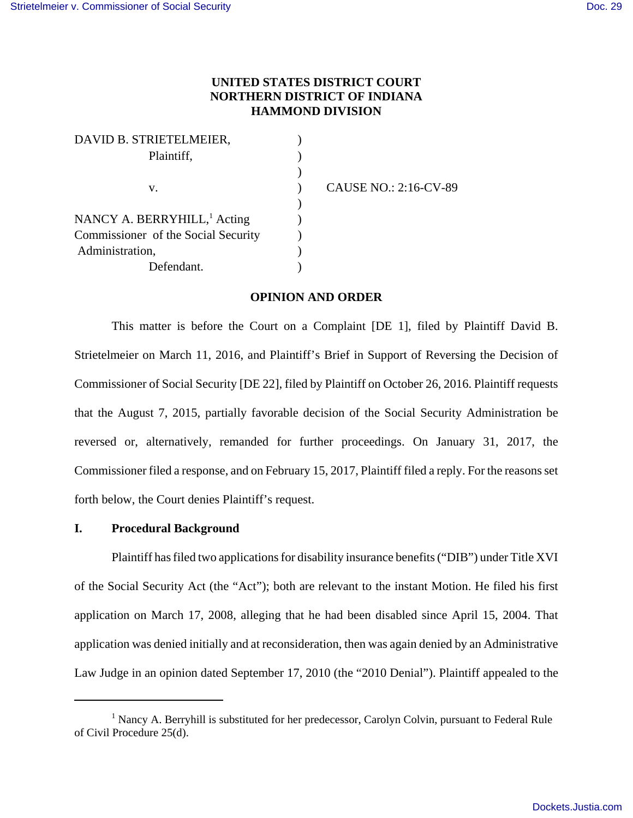# **UNITED STATES DISTRICT COURT NORTHERN DISTRICT OF INDIANA HAMMOND DIVISION**

| DAVID B. STRIETELMEIER,                 |                              |
|-----------------------------------------|------------------------------|
| Plaintiff,                              |                              |
|                                         |                              |
| v.                                      | <b>CAUSE NO.: 2:16-CV-89</b> |
|                                         |                              |
| NANCY A. BERRYHILL, <sup>1</sup> Acting |                              |
| Commissioner of the Social Security     |                              |
| Administration,                         |                              |
| Defendant.                              |                              |
|                                         |                              |

#### **OPINION AND ORDER**

This matter is before the Court on a Complaint [DE 1], filed by Plaintiff David B. Strietelmeier on March 11, 2016, and Plaintiff's Brief in Support of Reversing the Decision of Commissioner of Social Security [DE 22], filed by Plaintiff on October 26, 2016. Plaintiff requests that the August 7, 2015, partially favorable decision of the Social Security Administration be reversed or, alternatively, remanded for further proceedings. On January 31, 2017, the Commissioner filed a response, and on February 15, 2017, Plaintiff filed a reply. For the reasons set forth below, the Court denies Plaintiff's request.

## **I. Procedural Background**

Plaintiff has filed two applications for disability insurance benefits ("DIB") under Title XVI of the Social Security Act (the "Act"); both are relevant to the instant Motion. He filed his first application on March 17, 2008, alleging that he had been disabled since April 15, 2004. That application was denied initially and at reconsideration, then was again denied by an Administrative Law Judge in an opinion dated September 17, 2010 (the "2010 Denial"). Plaintiff appealed to the

<sup>&</sup>lt;sup>1</sup> Nancy A. Berryhill is substituted for her predecessor, Carolyn Colvin, pursuant to Federal Rule of Civil Procedure 25(d).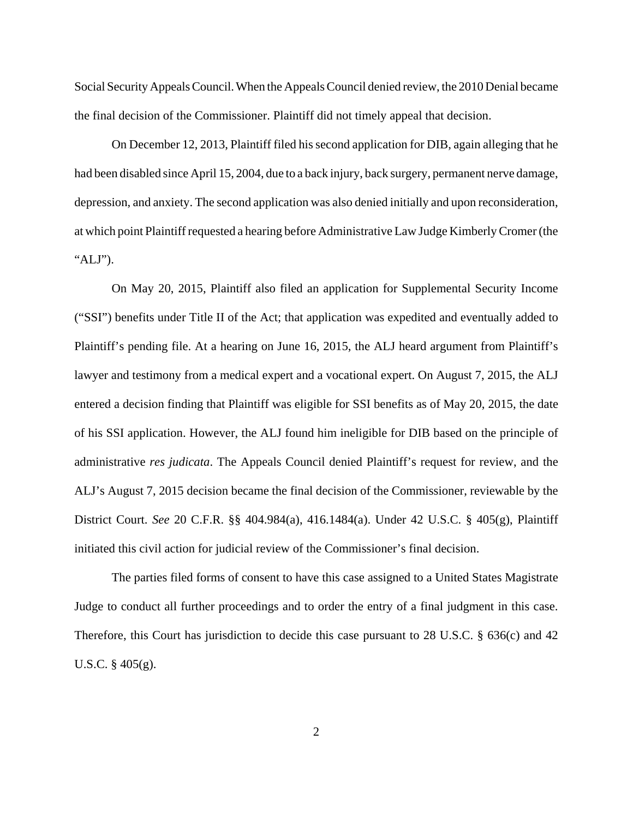Social Security Appeals Council. When the Appeals Council denied review, the 2010 Denial became the final decision of the Commissioner. Plaintiff did not timely appeal that decision.

On December 12, 2013, Plaintiff filed his second application for DIB, again alleging that he had been disabled since April 15, 2004, due to a back injury, back surgery, permanent nerve damage, depression, and anxiety. The second application was also denied initially and upon reconsideration, at which point Plaintiff requested a hearing before Administrative Law Judge Kimberly Cromer (the "ALJ").

On May 20, 2015, Plaintiff also filed an application for Supplemental Security Income ("SSI") benefits under Title II of the Act; that application was expedited and eventually added to Plaintiff's pending file. At a hearing on June 16, 2015, the ALJ heard argument from Plaintiff's lawyer and testimony from a medical expert and a vocational expert. On August 7, 2015, the ALJ entered a decision finding that Plaintiff was eligible for SSI benefits as of May 20, 2015, the date of his SSI application. However, the ALJ found him ineligible for DIB based on the principle of administrative *res judicata*. The Appeals Council denied Plaintiff's request for review, and the ALJ's August 7, 2015 decision became the final decision of the Commissioner, reviewable by the District Court. *See* 20 C.F.R. §§ 404.984(a), 416.1484(a). Under 42 U.S.C. § 405(g), Plaintiff initiated this civil action for judicial review of the Commissioner's final decision.

The parties filed forms of consent to have this case assigned to a United States Magistrate Judge to conduct all further proceedings and to order the entry of a final judgment in this case. Therefore, this Court has jurisdiction to decide this case pursuant to 28 U.S.C. § 636(c) and 42 U.S.C. § 405(g).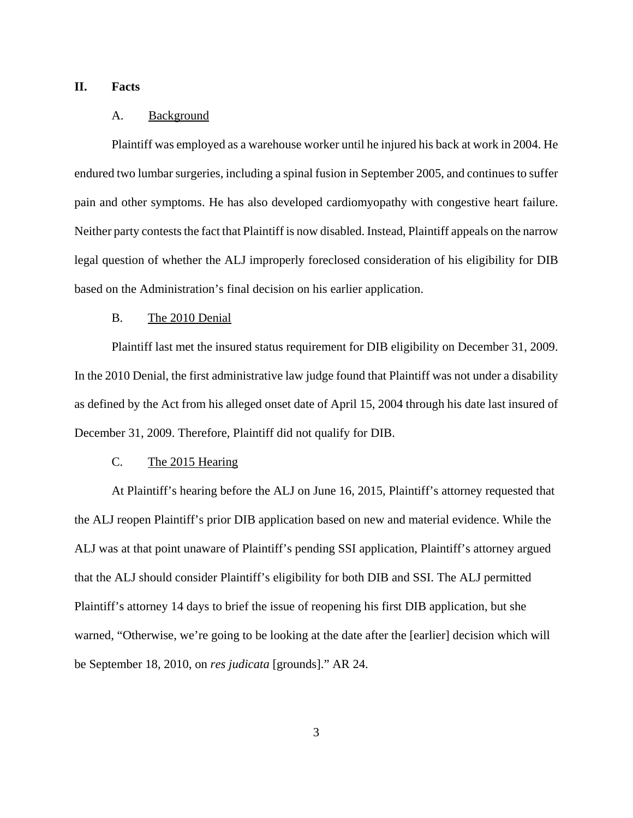## **II. Facts**

#### A. Background

Plaintiff was employed as a warehouse worker until he injured his back at work in 2004. He endured two lumbar surgeries, including a spinal fusion in September 2005, and continues to suffer pain and other symptoms. He has also developed cardiomyopathy with congestive heart failure. Neither party contests the fact that Plaintiff is now disabled. Instead, Plaintiff appeals on the narrow legal question of whether the ALJ improperly foreclosed consideration of his eligibility for DIB based on the Administration's final decision on his earlier application.

#### B. The 2010 Denial

Plaintiff last met the insured status requirement for DIB eligibility on December 31, 2009. In the 2010 Denial, the first administrative law judge found that Plaintiff was not under a disability as defined by the Act from his alleged onset date of April 15, 2004 through his date last insured of December 31, 2009. Therefore, Plaintiff did not qualify for DIB.

## C. The 2015 Hearing

At Plaintiff's hearing before the ALJ on June 16, 2015, Plaintiff's attorney requested that the ALJ reopen Plaintiff's prior DIB application based on new and material evidence. While the ALJ was at that point unaware of Plaintiff's pending SSI application, Plaintiff's attorney argued that the ALJ should consider Plaintiff's eligibility for both DIB and SSI. The ALJ permitted Plaintiff's attorney 14 days to brief the issue of reopening his first DIB application, but she warned, "Otherwise, we're going to be looking at the date after the [earlier] decision which will be September 18, 2010, on *res judicata* [grounds]." AR 24.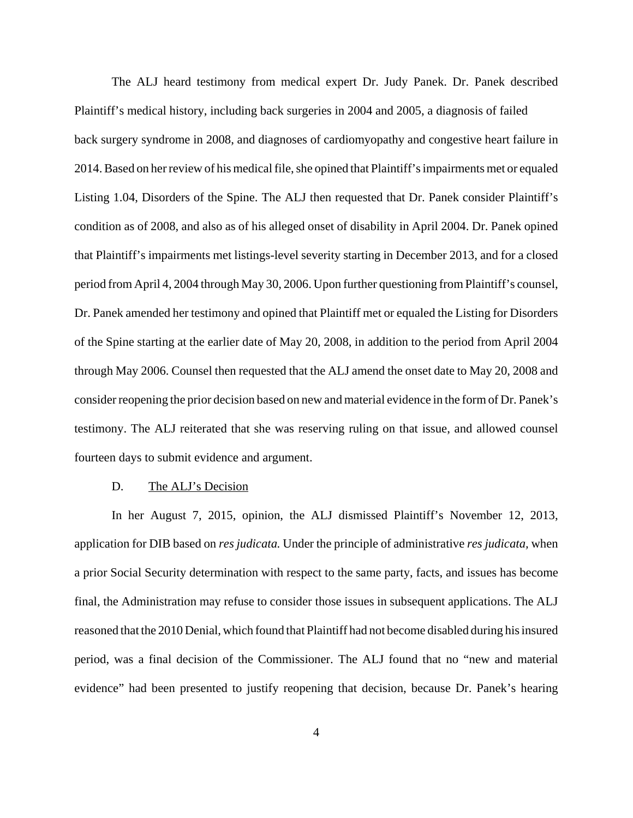The ALJ heard testimony from medical expert Dr. Judy Panek. Dr. Panek described Plaintiff's medical history, including back surgeries in 2004 and 2005, a diagnosis of failed back surgery syndrome in 2008, and diagnoses of cardiomyopathy and congestive heart failure in 2014. Based on her review of his medical file, she opined that Plaintiff's impairments met or equaled Listing 1.04, Disorders of the Spine. The ALJ then requested that Dr. Panek consider Plaintiff's condition as of 2008, and also as of his alleged onset of disability in April 2004. Dr. Panek opined that Plaintiff's impairments met listings-level severity starting in December 2013, and for a closed period from April 4, 2004 through May 30, 2006. Upon further questioning from Plaintiff's counsel, Dr. Panek amended her testimony and opined that Plaintiff met or equaled the Listing for Disorders of the Spine starting at the earlier date of May 20, 2008, in addition to the period from April 2004 through May 2006. Counsel then requested that the ALJ amend the onset date to May 20, 2008 and consider reopening the prior decision based on new and material evidence in the form of Dr. Panek's testimony. The ALJ reiterated that she was reserving ruling on that issue, and allowed counsel fourteen days to submit evidence and argument.

#### D. The ALJ's Decision

In her August 7, 2015, opinion, the ALJ dismissed Plaintiff's November 12, 2013, application for DIB based on *res judicata.* Under the principle of administrative *res judicata,* when a prior Social Security determination with respect to the same party, facts, and issues has become final, the Administration may refuse to consider those issues in subsequent applications. The ALJ reasoned that the 2010 Denial, which found that Plaintiff had not become disabled during his insured period, was a final decision of the Commissioner. The ALJ found that no "new and material evidence" had been presented to justify reopening that decision, because Dr. Panek's hearing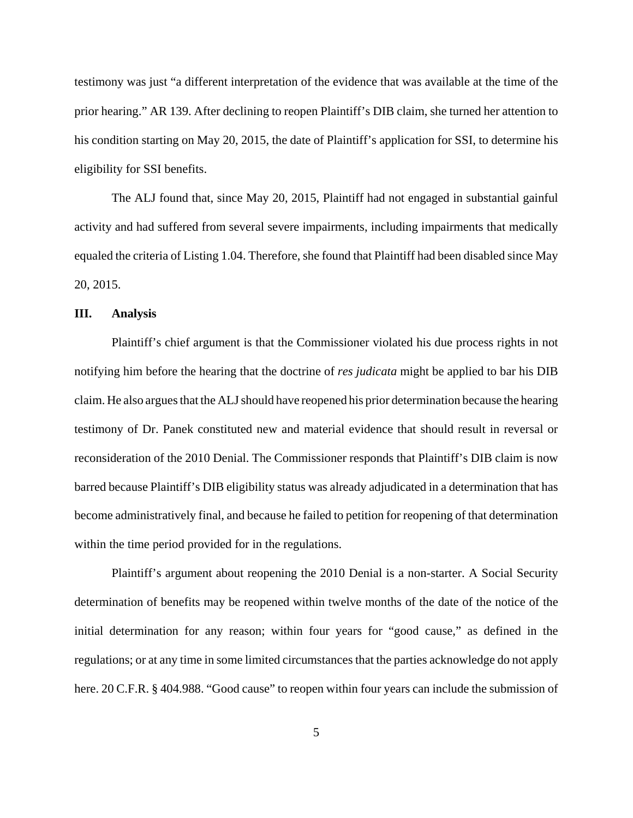testimony was just "a different interpretation of the evidence that was available at the time of the prior hearing." AR 139. After declining to reopen Plaintiff's DIB claim, she turned her attention to his condition starting on May 20, 2015, the date of Plaintiff's application for SSI, to determine his eligibility for SSI benefits.

The ALJ found that, since May 20, 2015, Plaintiff had not engaged in substantial gainful activity and had suffered from several severe impairments, including impairments that medically equaled the criteria of Listing 1.04. Therefore, she found that Plaintiff had been disabled since May 20, 2015.

#### **III. Analysis**

Plaintiff's chief argument is that the Commissioner violated his due process rights in not notifying him before the hearing that the doctrine of *res judicata* might be applied to bar his DIB claim. He also argues that the ALJ should have reopened his prior determination because the hearing testimony of Dr. Panek constituted new and material evidence that should result in reversal or reconsideration of the 2010 Denial. The Commissioner responds that Plaintiff's DIB claim is now barred because Plaintiff's DIB eligibility status was already adjudicated in a determination that has become administratively final, and because he failed to petition for reopening of that determination within the time period provided for in the regulations.

Plaintiff's argument about reopening the 2010 Denial is a non-starter. A Social Security determination of benefits may be reopened within twelve months of the date of the notice of the initial determination for any reason; within four years for "good cause," as defined in the regulations; or at any time in some limited circumstances that the parties acknowledge do not apply here. 20 C.F.R. § 404.988. "Good cause" to reopen within four years can include the submission of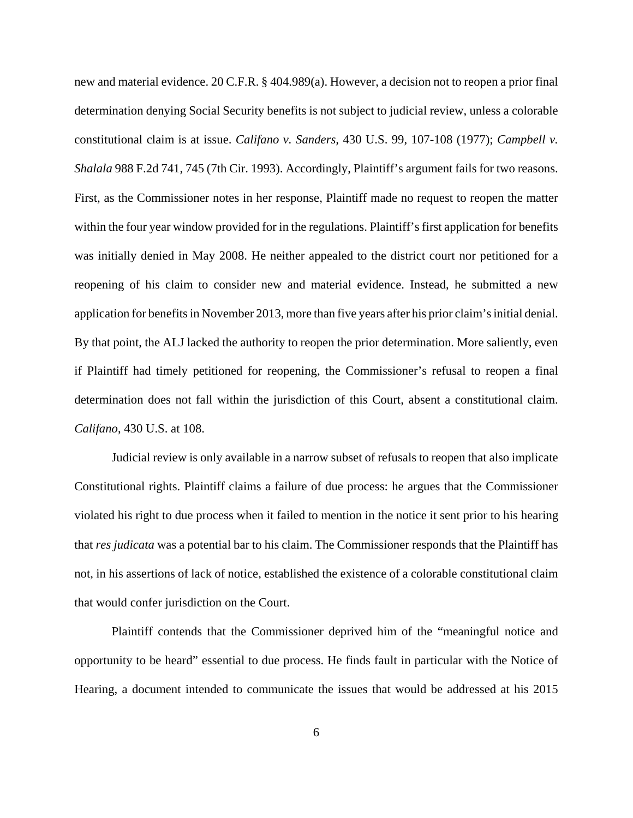new and material evidence. 20 C.F.R. § 404.989(a). However, a decision not to reopen a prior final determination denying Social Security benefits is not subject to judicial review, unless a colorable constitutional claim is at issue. *Califano v. Sanders,* 430 U.S. 99, 107-108 (1977); *Campbell v. Shalala* 988 F.2d 741, 745 (7th Cir. 1993). Accordingly, Plaintiff's argument fails for two reasons. First, as the Commissioner notes in her response, Plaintiff made no request to reopen the matter within the four year window provided for in the regulations. Plaintiff's first application for benefits was initially denied in May 2008. He neither appealed to the district court nor petitioned for a reopening of his claim to consider new and material evidence. Instead, he submitted a new application for benefits in November 2013, more than five years after his prior claim's initial denial. By that point, the ALJ lacked the authority to reopen the prior determination. More saliently, even if Plaintiff had timely petitioned for reopening, the Commissioner's refusal to reopen a final determination does not fall within the jurisdiction of this Court, absent a constitutional claim. *Califano*, 430 U.S. at 108.

Judicial review is only available in a narrow subset of refusals to reopen that also implicate Constitutional rights. Plaintiff claims a failure of due process: he argues that the Commissioner violated his right to due process when it failed to mention in the notice it sent prior to his hearing that *res judicata* was a potential bar to his claim. The Commissioner responds that the Plaintiff has not, in his assertions of lack of notice, established the existence of a colorable constitutional claim that would confer jurisdiction on the Court.

Plaintiff contends that the Commissioner deprived him of the "meaningful notice and opportunity to be heard" essential to due process. He finds fault in particular with the Notice of Hearing, a document intended to communicate the issues that would be addressed at his 2015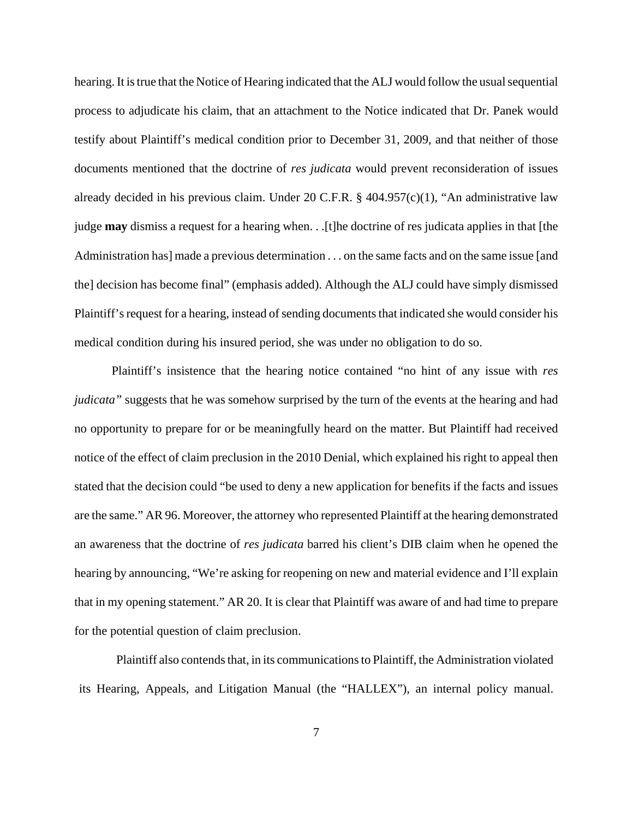hearing. It is true that the Notice of Hearing indicated that the ALJ would follow the usual sequential process to adjudicate his claim, that an attachment to the Notice indicated that Dr. Panek would testify about Plaintiff's medical condition prior to December 31, 2009, and that neither of those documents mentioned that the doctrine of *res judicata* would prevent reconsideration of issues already decided in his previous claim. Under 20 C.F.R. § 404.957(c)(1), "An administrative law judge **may** dismiss a request for a hearing when. . .[t]he doctrine of res judicata applies in that [the Administration has] made a previous determination . . . on the same facts and on the same issue [and the] decision has become final" (emphasis added). Although the ALJ could have simply dismissed Plaintiff's request for a hearing, instead of sending documents that indicated she would consider his medical condition during his insured period, she was under no obligation to do so.

Plaintiff's insistence that the hearing notice contained "no hint of any issue with *res judicata*" suggests that he was somehow surprised by the turn of the events at the hearing and had no opportunity to prepare for or be meaningfully heard on the matter. But Plaintiff had received notice of the effect of claim preclusion in the 2010 Denial, which explained his right to appeal then stated that the decision could "be used to deny a new application for benefits if the facts and issues are the same." AR 96. Moreover, the attorney who represented Plaintiff at the hearing demonstrated an awareness that the doctrine of *res judicata* barred his client's DIB claim when he opened the hearing by announcing, "We're asking for reopening on new and material evidence and I'll explain that in my opening statement." AR 20. It is clear that Plaintiff was aware of and had time to prepare for the potential question of claim preclusion.

Plaintiff also contends that, in its communications to Plaintiff, the Administration violated its Hearing, Appeals, and Litigation Manual (the "HALLEX"), an internal policy manual.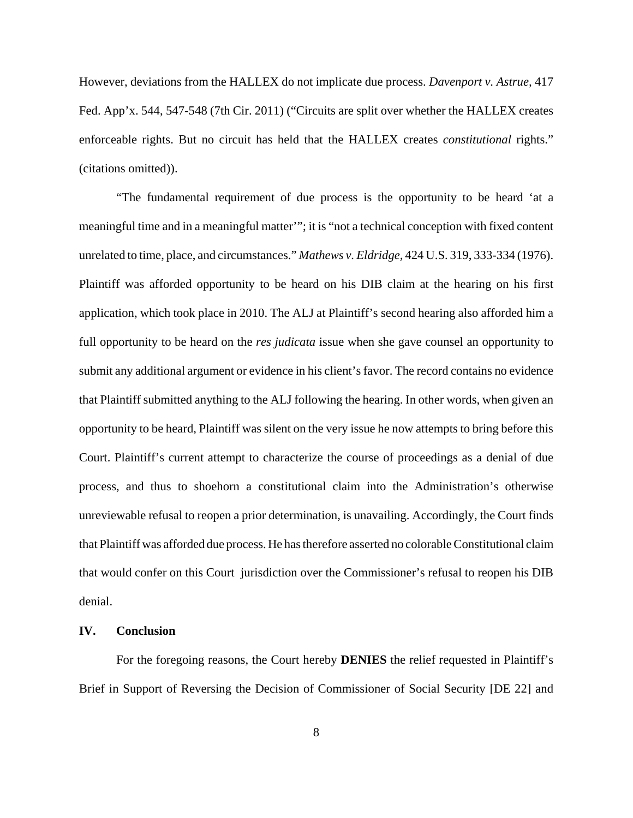However, deviations from the HALLEX do not implicate due process. *Davenport v. Astrue,* 417 Fed. App'x. 544, 547-548 (7th Cir. 2011) ("Circuits are split over whether the HALLEX creates enforceable rights. But no circuit has held that the HALLEX creates *constitutional* rights." (citations omitted)).

"The fundamental requirement of due process is the opportunity to be heard 'at a meaningful time and in a meaningful matter'"; it is "not a technical conception with fixed content unrelated to time, place, and circumstances." *Mathews v. Eldridge,* 424 U.S. 319, 333-334 (1976). Plaintiff was afforded opportunity to be heard on his DIB claim at the hearing on his first application, which took place in 2010. The ALJ at Plaintiff's second hearing also afforded him a full opportunity to be heard on the *res judicata* issue when she gave counsel an opportunity to submit any additional argument or evidence in his client's favor. The record contains no evidence that Plaintiff submitted anything to the ALJ following the hearing. In other words, when given an opportunity to be heard, Plaintiff was silent on the very issue he now attempts to bring before this Court. Plaintiff's current attempt to characterize the course of proceedings as a denial of due process, and thus to shoehorn a constitutional claim into the Administration's otherwise unreviewable refusal to reopen a prior determination, is unavailing. Accordingly, the Court finds that Plaintiff was afforded due process. He has therefore asserted no colorable Constitutional claim that would confer on this Court jurisdiction over the Commissioner's refusal to reopen his DIB denial.

## **IV. Conclusion**

For the foregoing reasons, the Court hereby **DENIES** the relief requested in Plaintiff's Brief in Support of Reversing the Decision of Commissioner of Social Security [DE 22] and